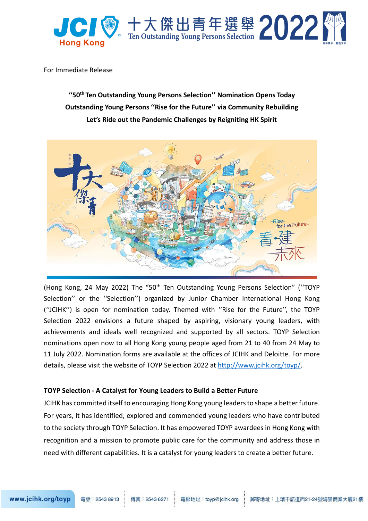

For Immediate Release

**''50th Ten Outstanding Young Persons Selection'' Nomination Opens Today Outstanding Young Persons ''Rise for the Future'' via Community Rebuilding Let's Ride out the Pandemic Challenges by Reigniting HK Spirit** 



(Hong Kong, 24 May 2022) The "50th Ten Outstanding Young Persons Selection" (''TOYP Selection'' or the ''Selection'') organized by Junior Chamber International Hong Kong (''JCIHK'') is open for nomination today. Themed with ''Rise for the Future'', the TOYP Selection 2022 envisions a future shaped by aspiring, visionary young leaders, with achievements and ideals well recognized and supported by all sectors. TOYP Selection nominations open now to all Hong Kong young people aged from 21 to 40 from 24 May to 11 July 2022. Nomination forms are available at the offices of JCIHK and Deloitte. For more details, please visit the website of TOYP Selection 2022 at [http://www.jcihk.org/toyp/.](http://www.jcihk.org/toyp/)

### **TOYP Selection - A Catalyst for Young Leaders to Build a Better Future**

JCIHK has committed itself to encouraging Hong Kong young leaders to shape a better future. For years, it has identified, explored and commended young leaders who have contributed to the society through TOYP Selection. It has empowered TOYP awardees in Hong Kong with recognition and a mission to promote public care for the community and address those in need with different capabilities. It is a catalyst for young leaders to create a better future.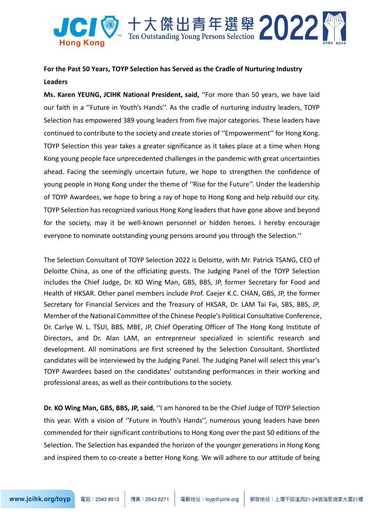

# **For the Past 50 Years, TOYP Selection has Served as the Cradle of Nurturing Industry Leaders**

**Ms. Karen YEUNG, JCIHK National President, said,** ''For more than 50 years, we have laid our faith in a ''Future in Youth's Hands''. As the cradle of nurturing industry leaders, TOYP Selection has empowered 389 young leaders from five major categories. These leaders have continued to contribute to the society and create stories of ''Empowerment'' for Hong Kong. TOYP Selection this year takes a greater significance as it takes place at a time when Hong Kong young people face unprecedented challenges in the pandemic with great uncertainties ahead. Facing the seemingly uncertain future, we hope to strengthen the confidence of young people in Hong Kong under the theme of ''Rise for the Future''. Under the leadership of TOYP Awardees, we hope to bring a ray of hope to Hong Kong and help rebuild our city. TOYP Selection has recognized various Hong Kong leaders that have gone above and beyond for the society, may it be well-known personnel or hidden heroes. I hereby encourage everyone to nominate outstanding young persons around you through the Selection.''

The Selection Consultant of TOYP Selection 2022 is Deloitte, with Mr. Patrick TSANG, CEO of Deloitte China, as one of the officiating guests. The Judging Panel of the TOYP Selection includes the Chief Judge, Dr. KO Wing Man, GBS, BBS, JP, former Secretary for Food and Health of HKSAR. Other panel members include Prof. Caejer K.C. CHAN, GBS, JP, the former Secretary for Financial Services and the Treasury of HKSAR, Dr. LAM Tai Fai, SBS, BBS, JP, Member of the National Committee of the Chinese People's Political Consultative Conference, Dr. Carlye W. L. TSUI, BBS, MBE, JP, Chief Operating Officer of The Hong Kong Institute of Directors, and Dr. Alan LAM, an entrepreneur specialized in scientific research and development. All nominations are first screened by the Selection Consultant. Shortlisted candidates will be interviewed by the Judging Panel. The Judging Panel will select this year's TOYP Awardees based on the candidates' outstanding performances in their working and professional areas, as well as their contributions to the society.

**Dr. KO Wing Man, GBS, BBS, JP, said**, ''I am honored to be the Chief Judge of TOYP Selection this year. With a vision of ''Future in Youth's Hands'', numerous young leaders have been commended for their significant contributions to Hong Kong over the past 50 editions of the Selection. The Selection has expanded the horizon of the younger generations in Hong Kong and inspired them to co-create a better Hong Kong. We will adhere to our attitude of being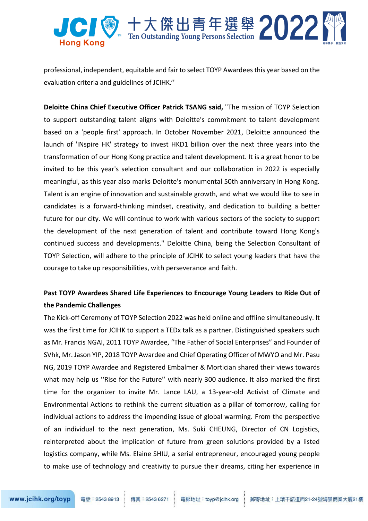

professional, independent, equitable and fair to select TOYP Awardees this year based on the evaluation criteria and guidelines of JCIHK.''

**Deloitte China Chief Executive Officer Patrick TSANG said,** "The mission of TOYP Selection to support outstanding talent aligns with Deloitte's commitment to talent development based on a 'people first' approach. In October November 2021, Deloitte announced the launch of 'INspire HK' strategy to invest HKD1 billion over the next three years into the transformation of our Hong Kong practice and talent development. It is a great honor to be invited to be this year's selection consultant and our collaboration in 2022 is especially meaningful, as this year also marks Deloitte's monumental 50th anniversary in Hong Kong. Talent is an engine of innovation and sustainable growth, and what we would like to see in candidates is a forward-thinking mindset, creativity, and dedication to building a better future for our city. We will continue to work with various sectors of the society to support the development of the next generation of talent and contribute toward Hong Kong's continued success and developments." Deloitte China, being the Selection Consultant of TOYP Selection, will adhere to the principle of JCIHK to select young leaders that have the courage to take up responsibilities, with perseverance and faith.

# **Past TOYP Awardees Shared Life Experiences to Encourage Young Leaders to Ride Out of the Pandemic Challenges**

The Kick-off Ceremony of TOYP Selection 2022 was held online and offline simultaneously. It was the first time for JCIHK to support a TEDx talk as a partner. Distinguished speakers such as Mr. Francis NGAI, 2011 TOYP Awardee, "The Father of Social Enterprises" and Founder of SVhk, Mr. Jason YIP, 2018 TOYP Awardee and Chief Operating Officer of MWYO and Mr. Pasu NG, 2019 TOYP Awardee and Registered Embalmer & Mortician shared their views towards what may help us ''Rise for the Future'' with nearly 300 audience. It also marked the first time for the organizer to invite Mr. Lance LAU, a 13-year-old Activist of Climate and Environmental Actions to rethink the current situation as a pillar of tomorrow, calling for individual actions to address the impending issue of global warming. From the perspective of an individual to the next generation, Ms. Suki CHEUNG, Director of CN Logistics, reinterpreted about the implication of future from green solutions provided by a listed logistics company, while Ms. Elaine SHIU, a serial entrepreneur, encouraged young people to make use of technology and creativity to pursue their dreams, citing her experience in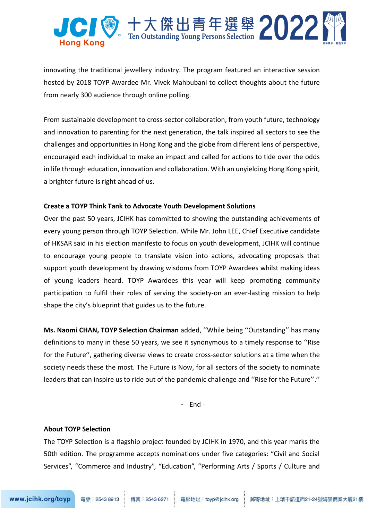

innovating the traditional jewellery industry. The program featured an interactive session hosted by 2018 TOYP Awardee Mr. Vivek Mahbubani to collect thoughts about the future from nearly 300 audience through online polling.

From sustainable development to cross-sector collaboration, from youth future, technology and innovation to parenting for the next generation, the talk inspired all sectors to see the challenges and opportunities in Hong Kong and the globe from different lens of perspective, encouraged each individual to make an impact and called for actions to tide over the odds in life through education, innovation and collaboration. With an unyielding Hong Kong spirit, a brighter future is right ahead of us.

### **Create a TOYP Think Tank to Advocate Youth Development Solutions**

Over the past 50 years, JCIHK has committed to showing the outstanding achievements of every young person through TOYP Selection. While Mr. John LEE, Chief Executive candidate of HKSAR said in his election manifesto to focus on youth development, JCIHK will continue to encourage young people to translate vision into actions, advocating proposals that support youth development by drawing wisdoms from TOYP Awardees whilst making ideas of young leaders heard. TOYP Awardees this year will keep promoting community participation to fulfil their roles of serving the society-on an ever-lasting mission to help shape the city's blueprint that guides us to the future.

**Ms. Naomi CHAN, TOYP Selection Chairman** added, ''While being ''Outstanding'' has many definitions to many in these 50 years, we see it synonymous to a timely response to ''Rise for the Future'', gathering diverse views to create cross-sector solutions at a time when the society needs these the most. The Future is Now, for all sectors of the society to nominate leaders that can inspire us to ride out of the pandemic challenge and ''Rise for the Future''.''

- End -

### **About TOYP Selection**

The TOYP Selection is a flagship project founded by JCIHK in 1970, and this year marks the 50th edition. The programme accepts nominations under five categories: "Civil and Social Services", "Commerce and Industry", "Education", "Performing Arts / Sports / Culture and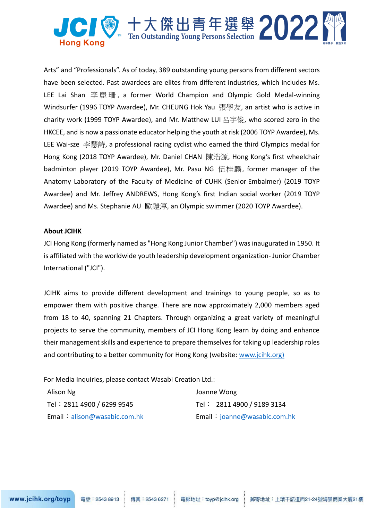

Arts" and "Professionals". As of today, 389 outstanding young persons from different sectors have been selected. Past awardees are elites from different industries, which includes Ms. LEE Lai Shan 李麗珊, a former World Champion and Olympic Gold Medal-winning Windsurfer (1996 TOYP Awardee), Mr. CHEUNG Hok Yau 張學友, an artist who is active in charity work (1999 TOYP Awardee), and Mr. Matthew LUI 呂宇俊, who scored zero in the HKCEE, and is now a passionate educator helping the youth at risk (2006 TOYP Awardee), Ms. LEE Wai-sze 李慧詩, a professional racing cyclist who earned the third Olympics medal for Hong Kong (2018 TOYP Awardee), Mr. Daniel CHAN 陳浩源, Hong Kong's first wheelchair badminton player (2019 TOYP Awardee), Mr. Pasu NG 伍桂麟, former manager of the Anatomy Laboratory of the Faculty of Medicine of CUHK (Senior Embalmer) (2019 TOYP Awardee) and Mr. Jeffrey ANDREWS, Hong Kong's first Indian social worker (2019 TOYP Awardee) and Ms. Stephanie AU 歐鎧淳, an Olympic swimmer (2020 TOYP Awardee).

#### **About JCIHK**

JCI Hong Kong (formerly named as "Hong Kong Junior Chamber") was inaugurated in 1950. It is affiliated with the worldwide youth leadership development organization- Junior Chamber International ("JCI").

JCIHK aims to provide different development and trainings to young people, so as to empower them with positive change. There are now approximately 2,000 members aged from 18 to 40, spanning 21 Chapters. Through organizing a great variety of meaningful projects to serve the community, members of JCI Hong Kong learn by doing and enhance their management skills and experience to prepare themselves for taking up leadership roles and contributing to a better community for Hong Kong (website: [www.jcihk.org\)](http://www.jcihk.org/)

For Media Inquiries, please contact Wasabi Creation Ltd.:

| Alison Ng                    | Joanne Wong                  |  |
|------------------------------|------------------------------|--|
| Tel: 2811 4900 / 6299 9545   | Tel: 2811 4900 / 9189 3134   |  |
| Email: alison@wasabic.com.hk | Email: joanne@wasabic.com.hk |  |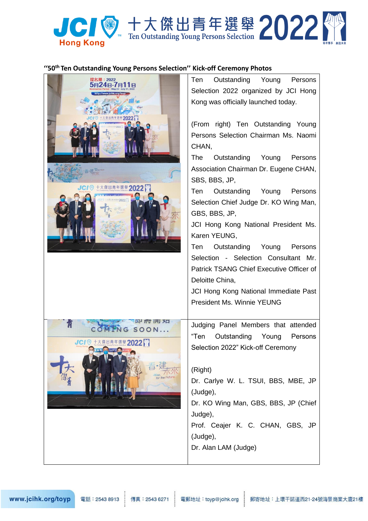

### "50<sup>th</sup> Ten Outstanding Young Persons Selection" Kick-off Ceremony Photos

| 提名期:2022<br>8748-7月11<br>2022<br>JCI 对 十大傑出青年選舉 2022 | Outstanding Young Persons<br>Ten<br>Selection 2022 organized by JCI Hong<br>Kong was officially launched today.<br>(From right) Ten Outstanding Young<br>Persons Selection Chairman Ms. Naomi<br>CHAN,<br>Outstanding<br>The<br>Young<br>Persons<br>Association Chairman Dr. Eugene CHAN,<br>SBS, BBS, JP,<br>Outstanding Young<br>Ten<br>Persons<br>Selection Chief Judge Dr. KO Wing Man,<br>GBS, BBS, JP,<br>JCI Hong Kong National President Ms.<br>Karen YEUNG,<br>Outstanding Young<br>Ten<br>Persons<br>Selection - Selection Consultant Mr.<br>Patrick TSANG Chief Executive Officer of<br>Deloitte China,<br>JCI Hong Kong National Immediate Past<br><b>President Ms. Winnie YEUNG</b> |
|------------------------------------------------------|--------------------------------------------------------------------------------------------------------------------------------------------------------------------------------------------------------------------------------------------------------------------------------------------------------------------------------------------------------------------------------------------------------------------------------------------------------------------------------------------------------------------------------------------------------------------------------------------------------------------------------------------------------------------------------------------------|
| ᄢᆏᆏ<br>NG SOON<br>JCI 7 十大傑出青年選舉 2022<br>off Comon   | Judging Panel Members that attended<br>"Ten<br>Outstanding<br>Young<br>Persons<br>Selection 2022" Kick-off Ceremony<br>(Right)<br>Dr. Carlye W. L. TSUI, BBS, MBE, JP<br>(Judge),<br>Dr. KO Wing Man, GBS, BBS, JP (Chief<br>Judge),<br>Prof. Ceajer K. C. CHAN, GBS, JP<br>(Judge),<br>Dr. Alan LAM (Judge)                                                                                                                                                                                                                                                                                                                                                                                     |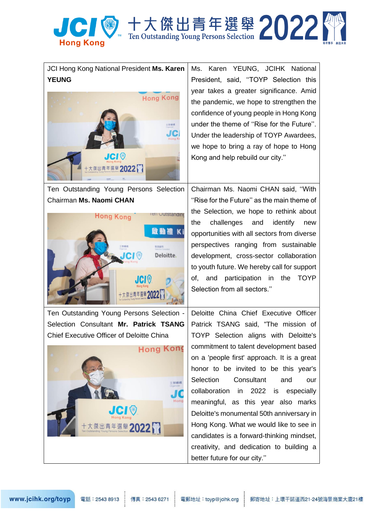

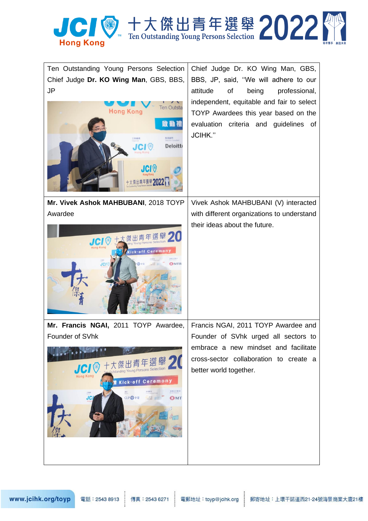

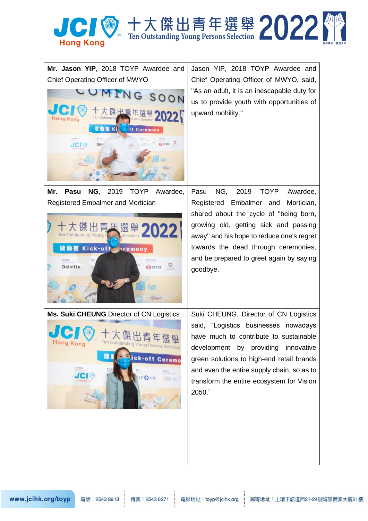